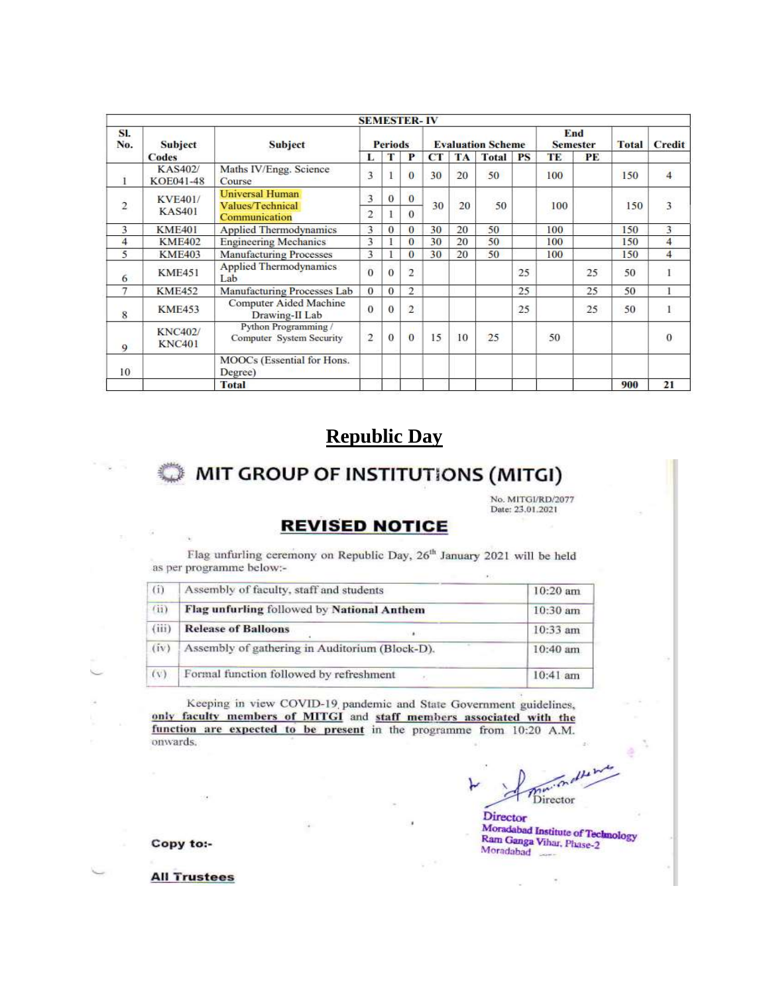|                         |                                 |                                                       |                |          | <b>SEMESTER-IV</b>       |           |    |                        |           |              |        |                         |                |
|-------------------------|---------------------------------|-------------------------------------------------------|----------------|----------|--------------------------|-----------|----|------------------------|-----------|--------------|--------|-------------------------|----------------|
| SI.<br>No.              | Subject                         | <b>Subject</b>                                        | <b>Periods</b> |          | <b>Evaluation Scheme</b> |           |    | End<br><b>Semester</b> |           | <b>Total</b> | Credit |                         |                |
|                         | Codes                           |                                                       | L              | Т        | P                        | <b>CT</b> | TA | <b>Total</b>           | <b>PS</b> | TE           | PE     |                         |                |
| $\mathbf{1}$            | KAS402/<br>KOE041-48            | Maths IV/Engg. Science<br>Course                      | 3              |          | $\mathbf{0}$             | 30        | 20 | 50                     |           | 100          |        | 150                     | $\overline{4}$ |
|                         | <b>KVE401/</b><br><b>KAS401</b> | Universal Human<br>Values/Technical                   | 3              | $\Omega$ | $\bf{0}$                 | 20        | 50 |                        | 100       |              |        | $\overline{\mathbf{3}}$ |                |
| $\overline{\mathbf{c}}$ |                                 | Communication                                         | 2              | $\Omega$ | 30                       |           |    |                        |           | 150          |        |                         |                |
| 3                       | <b>KME401</b>                   | <b>Applied Thermodynamics</b>                         | 3              | 0        | $\theta$                 | 30        | 20 | 50                     |           | 100          |        | 150                     | 3              |
| $\overline{4}$          | <b>KME402</b>                   | <b>Engineering Mechanics</b>                          | 3              |          | $\bf{0}$                 | 30        | 20 | 50                     |           | 100          |        | 150                     | 4              |
| 5                       | <b>KME403</b>                   | <b>Manufacturing Processes</b>                        | 3              |          | $\bf{0}$                 | 30        | 20 | 50                     |           | 100          |        | 150                     | $\overline{4}$ |
| $\overline{6}$          | <b>KME451</b>                   | <b>Applied Thermodynamics</b><br>Lab                  | $\Omega$       | 0        | $\overline{2}$           |           |    |                        | 25        |              | 25     | 50                      | $\mathbf{1}$   |
| 7                       | <b>KME452</b>                   | Manufacturing Processes Lab                           | $\theta$       | $\theta$ | $\overline{2}$           |           |    |                        | 25        |              | 25     | 50                      | 1              |
| 8                       | <b>KME453</b>                   | <b>Computer Aided Machine</b><br>Drawing-II Lab       | $\theta$       | $\theta$ | $\overline{\mathbf{c}}$  |           |    |                        | 25        |              | 25     | 50                      |                |
| 9                       | <b>KNC402</b><br><b>KNC401</b>  | Python Programming<br><b>Computer System Security</b> | 2              | $\Omega$ | $\mathbf{0}$             | 15        | 10 | 25                     |           | 50           |        |                         | $\theta$       |
| 10                      |                                 | MOOCs (Essential for Hons.<br>Degree)                 |                |          |                          |           |    |                        |           |              |        |                         |                |
|                         |                                 | <b>Total</b>                                          |                |          |                          |           |    |                        |           |              |        | 900                     | 21             |

## **Republic Day**

# MIT GROUP OF INSTITUTIONS (MITGI)

No. MITGI/RD/2077 Date: 23.01.2021

### **REVISED NOTICE**

Flag unfurling ceremony on Republic Day, 26<sup>th</sup> January 2021 will be held as per programme below:-

| (i)   | Assembly of faculty, staff and students          | $10:20$ am |
|-------|--------------------------------------------------|------------|
| (ii)  | Flag unfurling followed by National Anthem       | 10:30 am   |
| (iii) | <b>Release of Balloons</b><br>٠                  | 10:33 am   |
| (iv)  | Assembly of gathering in Auditorium (Block-D).   | $10:40$ am |
| (v)   | Formal function followed by refreshment<br>$\mu$ | $10:41$ am |

Keeping in view COVID-19 pandemic and State Government guidelines, only faculty members of MITGI and staff members associated with the function are expected to be present in the programme from 10:20 A.M. onwards.

Director

Director Moradabad Institute of Technology Ram Ganga Vihar, Phase-2 Moradabad

Copy to:-

**All Trustees**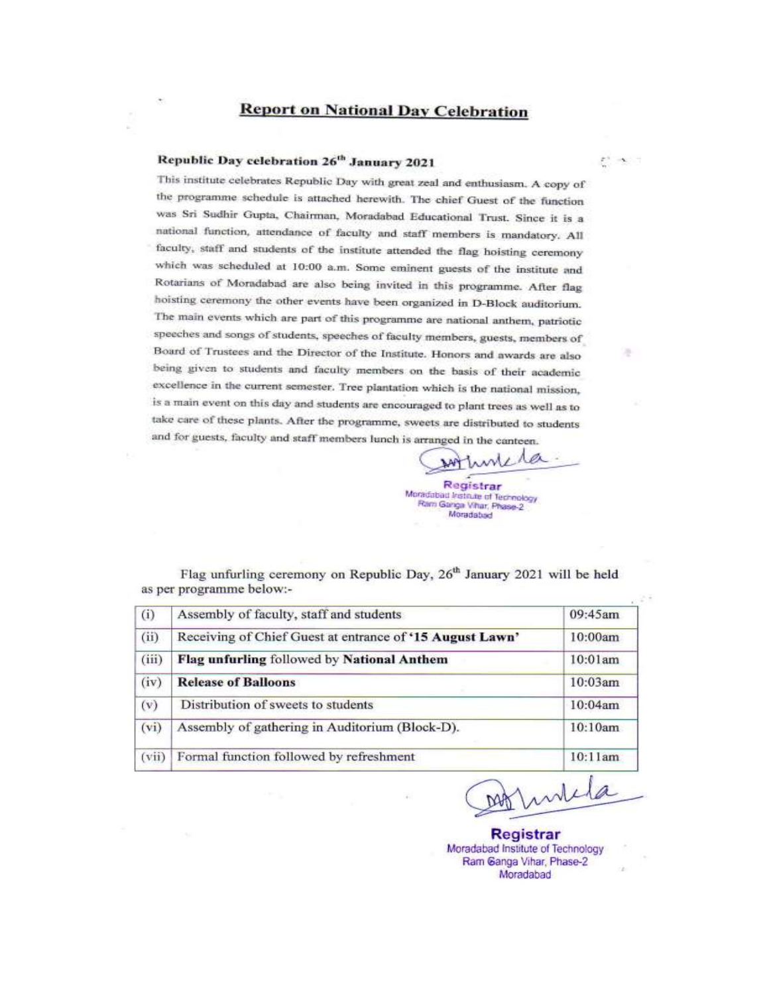#### **Report on National Day Celebration**

#### Republic Day celebration 26th January 2021

This institute celebrates Republic Day with great zeal and enthusiasm. A copy of the programme schedule is attached herewith. The chief Guest of the function was Sri Sudhir Gupta, Chairman, Moradabad Educational Trust. Since it is a national function, attendance of faculty and staff members is mandatory. All faculty, staff and students of the institute attended the flag hoisting ceremony which was scheduled at 10:00 a.m. Some eminent guests of the institute and Rotarians of Moradabad are also being invited in this programme. After flag hoisting ceremony the other events have been organized in D-Block auditorium. The main events which are part of this programme are national anthem, patriotic speeches and songs of students, speeches of faculty members, guests, members of Board of Trustees and the Director of the Institute. Honors and awards are also being given to students and faculty members on the basis of their academic excellence in the current semester. Tree plantation which is the national mission, is a main event on this day and students are encouraged to plant trees as well as to take care of these plants. After the programme, sweets are distributed to students and for guests, faculty and staff members lunch is arranged in the canteen.

a Registrar Moradabad Institute of Technology Ram Ganga Vihar, Phase-2 Moradabad

Flag unfurling ceremony on Republic Day, 26<sup>th</sup> January 2021 will be held as per programme below:-

| (i)   | Assembly of faculty, staff and students                  | 09:45am |
|-------|----------------------------------------------------------|---------|
| (iii) | Receiving of Chief Guest at entrance of '15 August Lawn' | 10:00am |
| (iii) | Flag unfurling followed by National Anthem               | 10:01am |
| (iv)  | <b>Release of Balloons</b>                               | 10:03am |
| (v)   | Distribution of sweets to students                       | 10:04am |
| (vi)  | Assembly of gathering in Auditorium (Block-D).           | 10:10am |
| (vii) | Formal function followed by refreshment                  | 10:11am |

Invita DAAT

 $\mathcal{L}^1$  and  $\mathcal{L}$ 

۰

**Registrar** Moradabad Institute of Technology Ram Ganga Vihar, Phase-2 Moradabad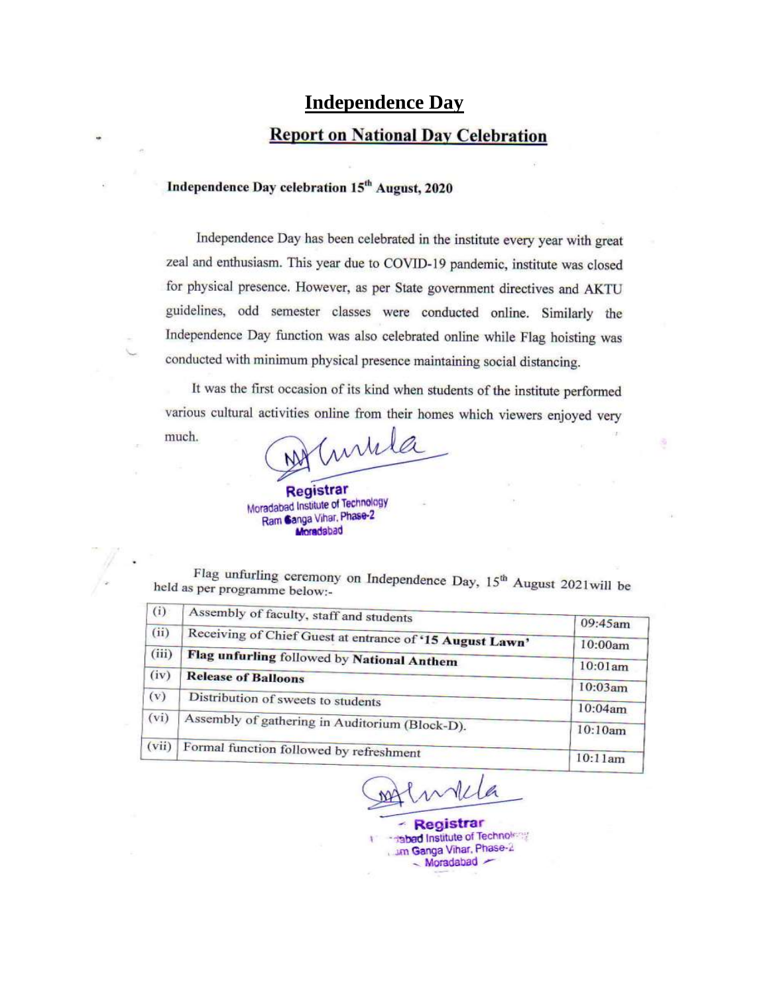### **Independence Day**

### **Report on National Day Celebration**

### Independence Day celebration 15<sup>th</sup> August, 2020

Independence Day has been celebrated in the institute every year with great zeal and enthusiasm. This year due to COVID-19 pandemic, institute was closed for physical presence. However, as per State government directives and AKTU guidelines, odd semester classes were conducted online. Similarly the Independence Day function was also celebrated online while Flag hoisting was conducted with minimum physical presence maintaining social distancing.

It was the first occasion of its kind when students of the institute performed various cultural activities online from their homes which viewers enjoyed very

š,

much.

inhila Registrar

Moradabad Institute of Technology Ram Canga Vihar, Phase-2 Moradabad

Flag unfurling ceremony on Independence Day, 15<sup>th</sup> August 2021will be held as per programme below:-

| (i)   | Assembly of faculty, staff and students                  |         |
|-------|----------------------------------------------------------|---------|
| (ii)  | Receiving of Chief Guest at entrance of '15 August Lawn' | 09:45am |
| (iii) |                                                          | 10:00am |
|       | Flag unfurling followed by National Anthem               | 10:01am |
| (iv)  | <b>Release of Balloons</b>                               | 10:03am |
| (v)   | Distribution of sweets to students                       | 10:04am |
| (vi)  | Assembly of gathering in Auditorium (Block-D).           |         |
|       |                                                          | 10:10am |
| (vii) | Formal function followed by refreshment                  | 10:11am |
|       |                                                          |         |

- Registrar **Institute of Technology** um Ganga Vihar, Phase-2  $-Moradabad$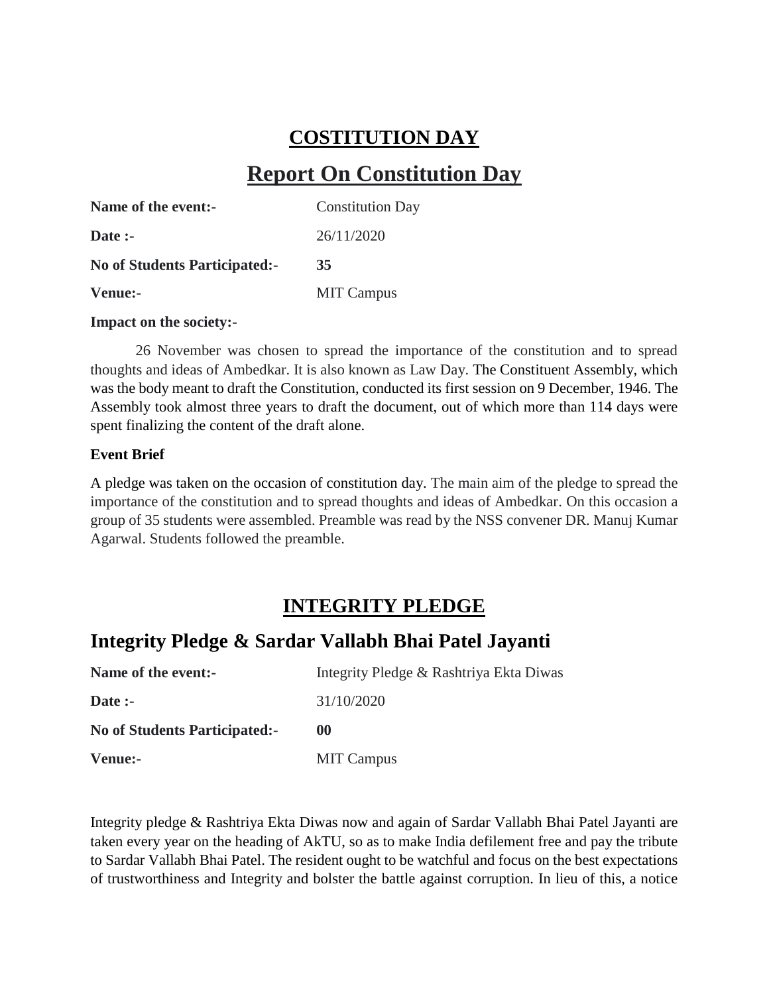# **COSTITUTION DAY**

# **Report On Constitution Day**

| Name of the event:-                  | <b>Constitution Day</b> |
|--------------------------------------|-------------------------|
| Date :-                              | 26/11/2020              |
| <b>No of Students Participated:-</b> | 35                      |
| Venue:-                              | <b>MIT Campus</b>       |

#### **Impact on the society:-**

26 November was chosen to spread the importance of the constitution and to spread thoughts and ideas of Ambedkar. It is also known as Law Day. The Constituent Assembly, which was the body meant to draft the Constitution, conducted its first session on 9 December, 1946. The Assembly took almost three years to draft the document, out of which more than 114 days were spent finalizing the content of the draft alone.

#### **Event Brief**

A pledge was taken on the occasion of constitution day. The main aim of the pledge to spread the importance of the constitution and to spread thoughts and ideas of Ambedkar. On this occasion a group of 35 students were assembled. Preamble was read by the NSS convener DR. Manuj Kumar Agarwal. Students followed the preamble.

## **INTEGRITY PLEDGE**

## **Integrity Pledge & Sardar Vallabh Bhai Patel Jayanti**

| Name of the event:-                  | Integrity Pledge & Rashtriya Ekta Diwas |  |  |
|--------------------------------------|-----------------------------------------|--|--|
| Date $:$                             | 31/10/2020                              |  |  |
| <b>No of Students Participated:-</b> | 00                                      |  |  |
| Venue:-                              | <b>MIT Campus</b>                       |  |  |

Integrity pledge & Rashtriya Ekta Diwas now and again of Sardar Vallabh Bhai Patel Jayanti are taken every year on the heading of AkTU, so as to make India defilement free and pay the tribute to Sardar Vallabh Bhai Patel. The resident ought to be watchful and focus on the best expectations of trustworthiness and Integrity and bolster the battle against corruption. In lieu of this, a notice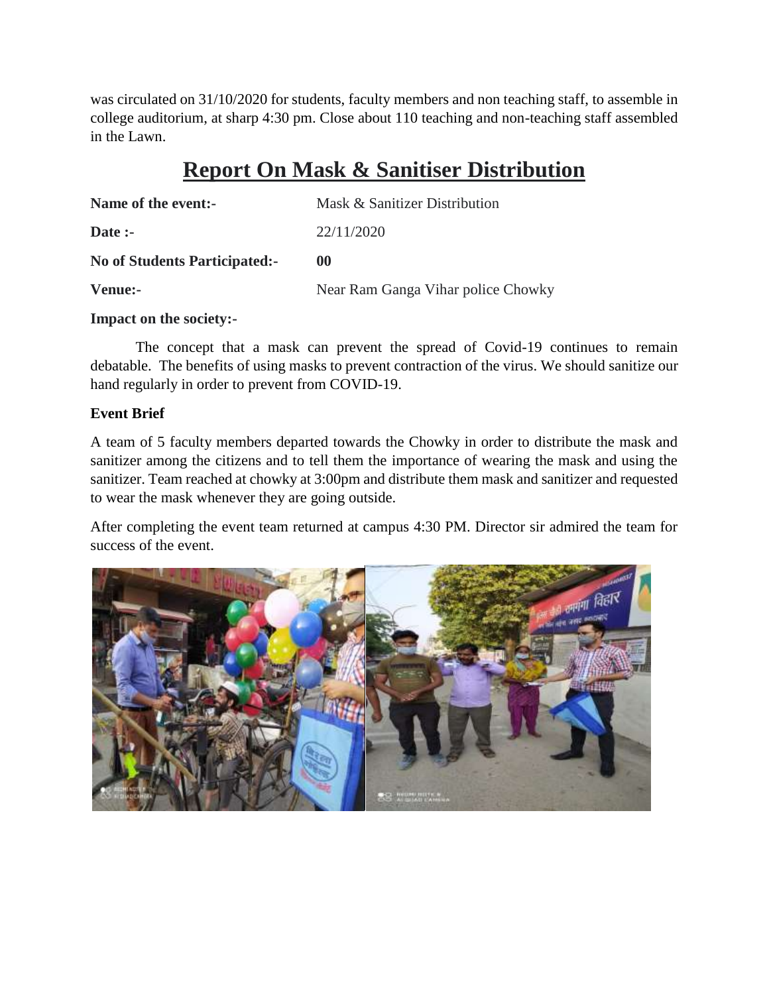was circulated on 31/10/2020 for students, faculty members and non teaching staff, to assemble in college auditorium, at sharp 4:30 pm. Close about 110 teaching and non-teaching staff assembled in the Lawn.

# **Report On Mask & Sanitiser Distribution**

| Name of the event:-                  | Mask & Sanitizer Distribution      |  |  |
|--------------------------------------|------------------------------------|--|--|
| Date $:$                             | 22/11/2020                         |  |  |
| <b>No of Students Participated:-</b> | $\omega$                           |  |  |
| Venue:-                              | Near Ram Ganga Vihar police Chowky |  |  |

#### **Impact on the society:-**

The concept that a mask can prevent the spread of Covid-19 continues to remain debatable. The benefits of using masks to prevent contraction of the virus. We should sanitize our hand regularly in order to prevent from COVID-19.

#### **Event Brief**

A team of 5 faculty members departed towards the Chowky in order to distribute the mask and sanitizer among the citizens and to tell them the importance of wearing the mask and using the sanitizer. Team reached at chowky at 3:00pm and distribute them mask and sanitizer and requested to wear the mask whenever they are going outside.

After completing the event team returned at campus 4:30 PM. Director sir admired the team for success of the event.

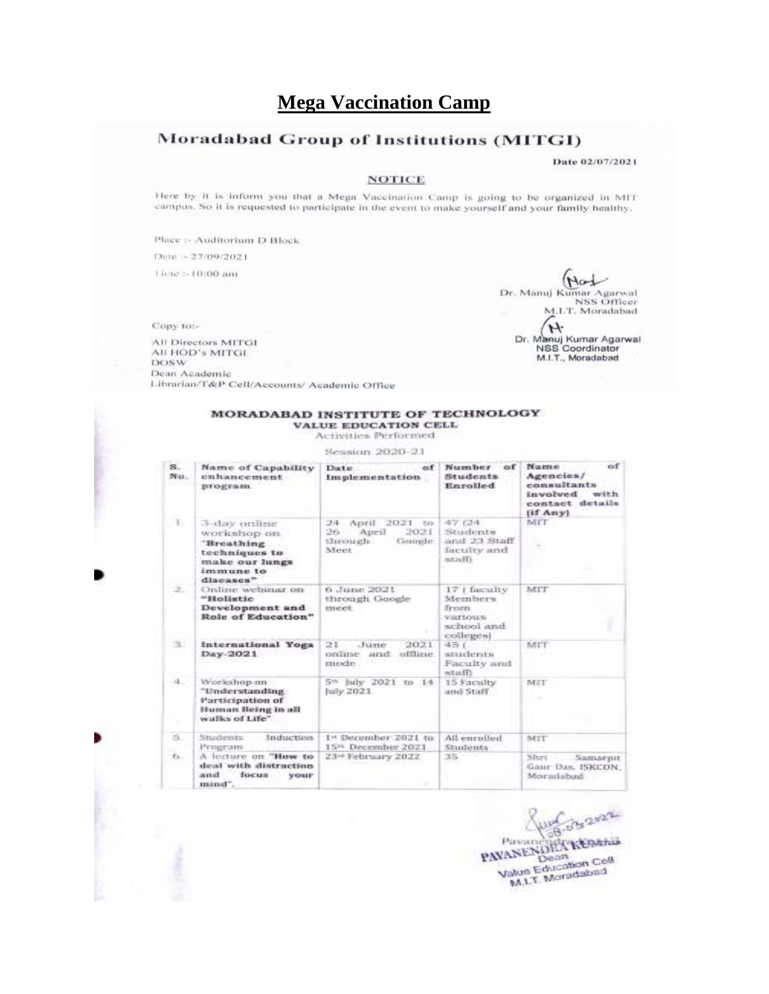### **Mega Vaccination Camp**

### Moradabad Group of Institutions (MITGI)

Date 02/07/2021

#### **NOTICE**

Here by it is inform you that a Mega Vaccination Camp is going to be organized in MIT campus. So it is requested to participate in the event to make yourself and your family healthy.

Place :- Auditorium D Block

Date: - 27/09/2021

Time :- 10:00 am

Copy to:-

All Directors MITGI All HOD's MITGI DOSW Dean Academic Librarian/T&P Cell/Accounts/ Academic Office

Mag Dr. Manuj Kumar Agarwal<br>NSS Officer M.LT. Moradabad Dr. Manuj Kumar Agarwal<br>NSS Coordinator M.I.T., Moradabad

#### MORADABAD INSTITUTE OF TECHNOLOGY **VALUE EDUCATION CELL**

Activities Performed

Session. 2020-21

| 8.<br>No.    | Name of Capability<br>enhancement<br>program.                                                           | Date.<br>of<br>Implementation                                                               | Number<br>$\circ$ f<br>Students<br>Enrolled                                | $\alpha$ <sub>E</sub><br>Name<br>Agencies/<br>consultants<br>involved<br>with<br>contact details<br>(if Any) |  |  |
|--------------|---------------------------------------------------------------------------------------------------------|---------------------------------------------------------------------------------------------|----------------------------------------------------------------------------|--------------------------------------------------------------------------------------------------------------|--|--|
| $\mathbb{L}$ | 3-day online<br>workshop on.<br>Breathing<br>techniques to<br>make our lungs.<br>immune to<br>diseases" | 24 April<br>2021<br><b>CO</b><br>302L<br>April<br>26<br><b>Showareh</b><br>Gemple.<br>Meet. | 夜学 【三体<br>Students<br>Barlet ES Islant<br>faculty and<br>mand <sup>1</sup> | MIT                                                                                                          |  |  |
| 2.           | Online webinar on<br>"Holistic<br>Development and<br>Role of Education"                                 | 6 June 2021<br>through Google<br>meet                                                       | 17   faculty<br>Meinbers<br>from<br>WATSOUR<br>school and<br>colleges)     | MIT                                                                                                          |  |  |
| 30           | International Yoga<br>Day-2021                                                                          | 21<br>June<br>2021<br>online<br>and affline<br>mode                                         | 45.6<br>students<br><b>Faculty</b> and<br>assaff:                          | MUT                                                                                                          |  |  |
| $-1$         | Worleshop an<br>"Understanding<br>Participation of<br>Human Being in all<br>walks of Life"              | 5th July 2021 to 14<br>haly 2021                                                            | 15 Faculty<br>and Staff                                                    | MEE                                                                                                          |  |  |
| 51           | Induction<br>Students<br>Program                                                                        | 1st December 2021 to<br>15 <sup>th</sup> December 2021                                      | All enrolled<br><b>Students</b>                                            | MIT                                                                                                          |  |  |
| Ex.          | A lecture on "How to<br>deal with distraction<br>and<br>focus<br>vour<br>mind".                         | 23 <sup>et</sup> February 2022                                                              | 35.                                                                        | Shri -<br>Samarpit<br>GAHP Dan, ISKCON,<br>Moradabad                                                         |  |  |

 $3202$ PANANENDENTREPARK Value Education Cell M.L.T. Moradabad